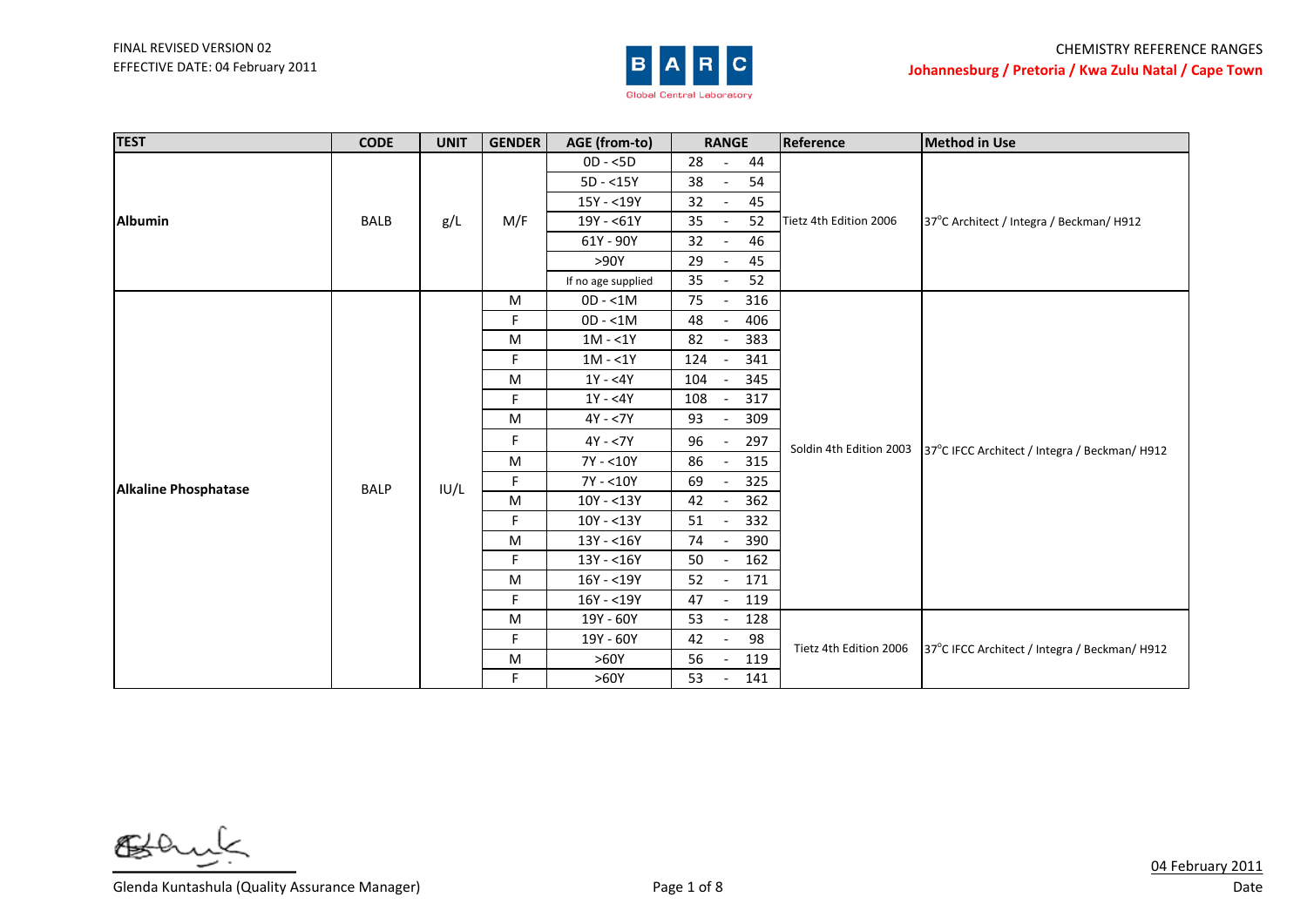

| <b>TEST</b>                 | <b>CODE</b> | <b>UNIT</b> | <b>GENDER</b> | AGE (from-to)      | <b>RANGE</b>                          | Reference               | <b>Method in Use</b>                          |
|-----------------------------|-------------|-------------|---------------|--------------------|---------------------------------------|-------------------------|-----------------------------------------------|
|                             |             |             |               | $OD - <5D$         | 28<br>44<br>$\overline{\phantom{a}}$  |                         |                                               |
|                             |             |             |               | $5D - 15Y$         | 38<br>54                              |                         | 37°C Architect / Integra / Beckman/ H912      |
|                             |             |             |               | 15Y - <19Y         | 32<br>45                              |                         |                                               |
| <b>Albumin</b>              | <b>BALB</b> | g/L         | M/F           | 19Y - <61Y         | 35<br>52                              | Tietz 4th Edition 2006  |                                               |
|                             |             |             |               | 61Y - 90Y          | 32<br>46                              |                         |                                               |
|                             |             |             |               | >90Y               | 29<br>45                              |                         |                                               |
|                             |             |             |               | If no age supplied | 35<br>52                              |                         |                                               |
|                             |             |             | M             | $OD - 1M$          | 75<br>316                             |                         |                                               |
|                             |             |             | F.            | $OD - < 1M$        | 406<br>48                             |                         | 37°C IFCC Architect / Integra / Beckman/ H912 |
|                             |             | IU/L        | M             | $1M - 1Y$          | 82<br>383                             |                         |                                               |
|                             |             |             | F.            | $1M - 1Y$          | 341<br>124                            | Soldin 4th Edition 2003 |                                               |
|                             |             |             | M             | $1Y - 4Y$          | 104<br>345                            |                         |                                               |
|                             |             |             | F.            | $1Y - 4Y$          | 108<br>317                            |                         |                                               |
|                             |             |             | M             | $4Y - 7Y$          | 93<br>309                             |                         |                                               |
|                             |             |             | F.            | $4Y - 7Y$          | 96<br>297                             |                         |                                               |
|                             |             |             | M             | 7Y - <10Y          | 315<br>86                             |                         |                                               |
| <b>Alkaline Phosphatase</b> | <b>BALP</b> |             | F.            | 7Y - <10Y          | 69<br>325                             |                         |                                               |
|                             |             |             | M             | $10Y - 13Y$        | 42<br>362                             |                         |                                               |
|                             |             |             | F.            | $10Y - 13Y$        | 51<br>332                             |                         |                                               |
|                             |             |             | M             | $13Y - 16Y$        | 74<br>390<br>$\overline{\phantom{a}}$ |                         |                                               |
|                             |             |             | F.            | $13Y - 16Y$        | 50<br>162                             |                         |                                               |
|                             |             |             | M             | $16Y - 19Y$        | 52<br>171                             |                         |                                               |
|                             |             |             | F.            | $16Y - 19Y$        | 47<br>119<br>$\overline{\phantom{a}}$ |                         |                                               |
|                             |             |             | M             | 19Y - 60Y          | 53<br>128                             |                         |                                               |
|                             |             |             | F.            | 19Y - 60Y          | 98<br>42                              | Tietz 4th Edition 2006  |                                               |
|                             |             |             | M             | >60Y               | 56<br>119                             |                         | 37°C IFCC Architect / Integra / Beckman/ H912 |
|                             |             |             | F.            | >60Y               | 141<br>53                             |                         |                                               |

6≸

Glenda Kuntashula (Quality Assurance Manager) Show The Control of 8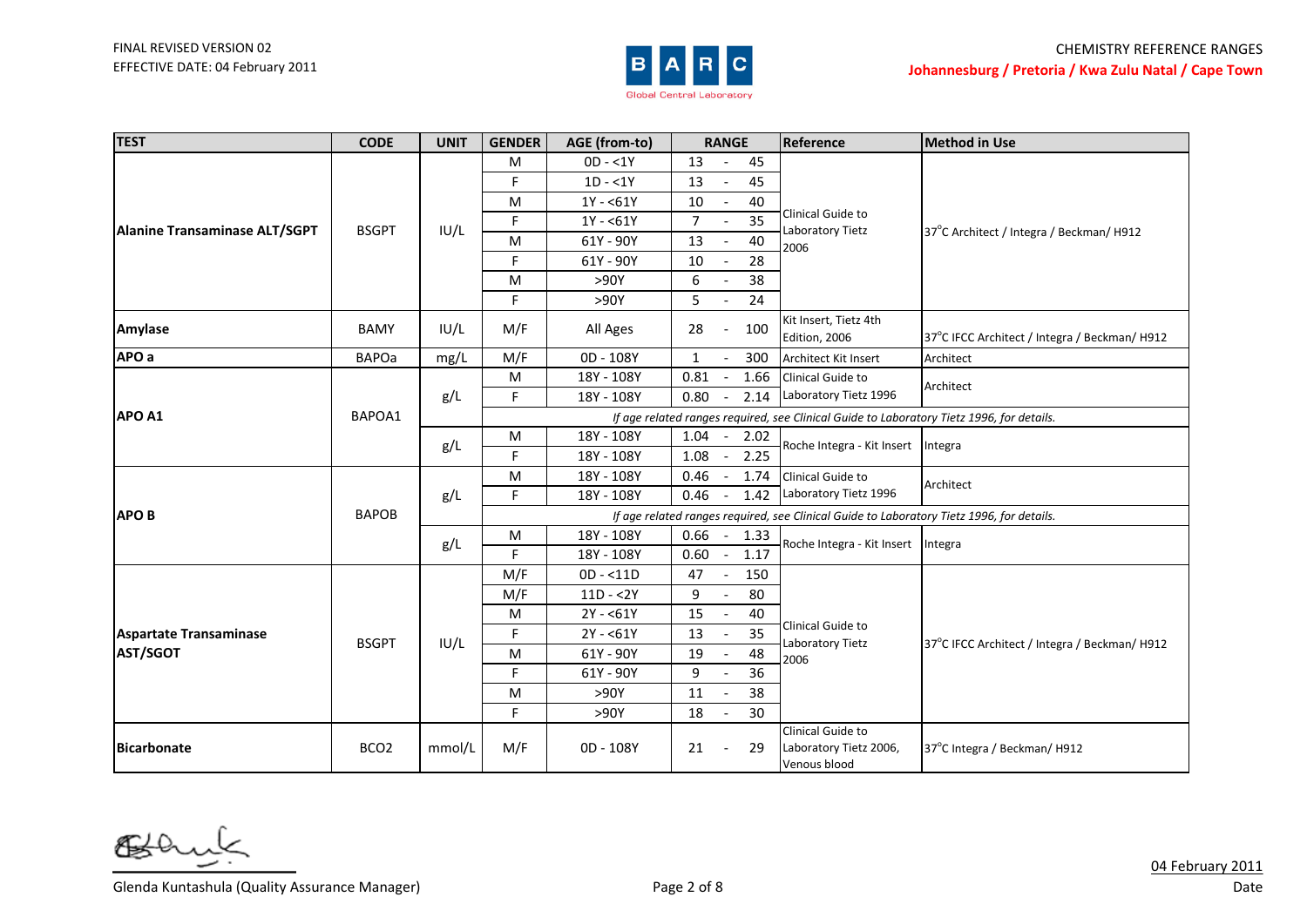

| <b>TEST</b>                   | <b>CODE</b>      | <b>UNIT</b> | <b>GENDER</b>                                                                             | AGE (from-to)                                                                             | <b>RANGE</b>                     |      | Reference                                                   | <b>Method in Use</b>                          |  |  |
|-------------------------------|------------------|-------------|-------------------------------------------------------------------------------------------|-------------------------------------------------------------------------------------------|----------------------------------|------|-------------------------------------------------------------|-----------------------------------------------|--|--|
|                               |                  |             | M                                                                                         | $OD - 1Y$                                                                                 | 13                               | 45   |                                                             |                                               |  |  |
|                               |                  |             | F.                                                                                        | $1D - 1Y$                                                                                 | 13                               | 45   |                                                             |                                               |  |  |
|                               |                  |             | M                                                                                         | $1Y - 61Y$                                                                                | 10<br>$\sim$                     | 40   |                                                             |                                               |  |  |
| Alanine Transaminase ALT/SGPT | <b>BSGPT</b>     | IUI/L       | F.                                                                                        | $1Y - 61Y$                                                                                | 7<br>$\overline{\phantom{a}}$    | 35   | Clinical Guide to<br>Laboratory Tietz                       | 37°C Architect / Integra / Beckman/ H912      |  |  |
|                               |                  |             | м                                                                                         | 61Y - 90Y                                                                                 | 13                               | 40   | 2006                                                        |                                               |  |  |
|                               |                  |             | F.                                                                                        | 61Y - 90Y                                                                                 | 10                               | 28   |                                                             |                                               |  |  |
|                               |                  |             | M                                                                                         | >90Y                                                                                      | 6<br>$\blacksquare$              | 38   |                                                             |                                               |  |  |
|                               |                  |             | F.                                                                                        | >90Y                                                                                      | 5                                | 24   |                                                             |                                               |  |  |
| Amylase                       | <b>BAMY</b>      | IUI/L       | M/F                                                                                       | All Ages                                                                                  | 28                               | 100  | Kit Insert, Tietz 4th<br>Edition, 2006                      | 37°C IFCC Architect / Integra / Beckman/ H912 |  |  |
| APO a                         | <b>BAPOa</b>     | mg/L        | M/F                                                                                       | 0D - 108Y                                                                                 | 1                                | 300  | <b>Architect Kit Insert</b>                                 | Architect                                     |  |  |
|                               |                  |             | M                                                                                         | 18Y - 108Y                                                                                | 0.81                             | 1.66 | Clinical Guide to                                           |                                               |  |  |
|                               | BAPOA1           | g/L         | F.                                                                                        | 18Y - 108Y                                                                                | 0.80                             | 2.14 | Laboratory Tietz 1996                                       | Architect                                     |  |  |
| APO A1                        |                  |             |                                                                                           | If age related ranges required, see Clinical Guide to Laboratory Tietz 1996, for details. |                                  |      |                                                             |                                               |  |  |
|                               |                  | g/L         | M                                                                                         | 18Y - 108Y                                                                                | 1.04                             | 2.02 | Roche Integra - Kit Insert                                  | Integra                                       |  |  |
|                               |                  |             | F.                                                                                        | 18Y - 108Y                                                                                | 1.08                             | 2.25 |                                                             |                                               |  |  |
|                               |                  | g/L         | M                                                                                         | 18Y - 108Y                                                                                | 0.46                             | 1.74 | Clinical Guide to<br>Laboratory Tietz 1996                  | Architect                                     |  |  |
|                               |                  |             | F.                                                                                        | 18Y - 108Y                                                                                | 0.46<br>$\blacksquare$           | 1.42 |                                                             |                                               |  |  |
| <b>APOB</b>                   | <b>BAPOB</b>     |             | If age related ranges required, see Clinical Guide to Laboratory Tietz 1996, for details. |                                                                                           |                                  |      |                                                             |                                               |  |  |
|                               |                  | g/L         | ${\sf M}$                                                                                 | 18Y - 108Y                                                                                | $0.66 -$                         | 1.33 | Roche Integra - Kit Insert                                  | Integra                                       |  |  |
|                               |                  |             | F.                                                                                        | 18Y - 108Y                                                                                | 0.60<br>$\overline{\phantom{a}}$ | 1.17 |                                                             |                                               |  |  |
|                               |                  |             | M/F                                                                                       | $OD - < 11D$                                                                              | 47                               | 150  |                                                             |                                               |  |  |
|                               |                  |             | M/F                                                                                       | $11D - 2Y$                                                                                | 9                                | 80   |                                                             |                                               |  |  |
|                               |                  |             | M                                                                                         | $2Y - 61Y$                                                                                | 15                               | 40   | Clinical Guide to                                           |                                               |  |  |
| <b>Aspartate Transaminase</b> | <b>BSGPT</b>     | IU/L        | F.                                                                                        | $2Y - 61Y$                                                                                | 13                               | 35   | Laboratory Tietz                                            | 37°C IFCC Architect / Integra / Beckman/ H912 |  |  |
| <b>AST/SGOT</b>               |                  |             | M                                                                                         | 61Y - 90Y                                                                                 | 19                               | 48   | 2006                                                        |                                               |  |  |
|                               |                  |             | F                                                                                         | 61Y - 90Y                                                                                 | 9                                | 36   |                                                             |                                               |  |  |
|                               |                  |             | M                                                                                         | >90Y                                                                                      | 11                               | 38   |                                                             |                                               |  |  |
|                               |                  |             | F.                                                                                        | >90Y                                                                                      | 18<br>$\overline{\phantom{a}}$   | 30   |                                                             |                                               |  |  |
| <b>Bicarbonate</b>            | BCO <sub>2</sub> | mmol/L      | M/F                                                                                       | 0D - 108Y                                                                                 | 21                               | 29   | Clinical Guide to<br>Laboratory Tietz 2006,<br>Venous blood | 37°C Integra / Beckman/ H912                  |  |  |

6≸

Glenda Kuntashula (Quality Assurance Manager) Show The Control of 8 Page 2 of 8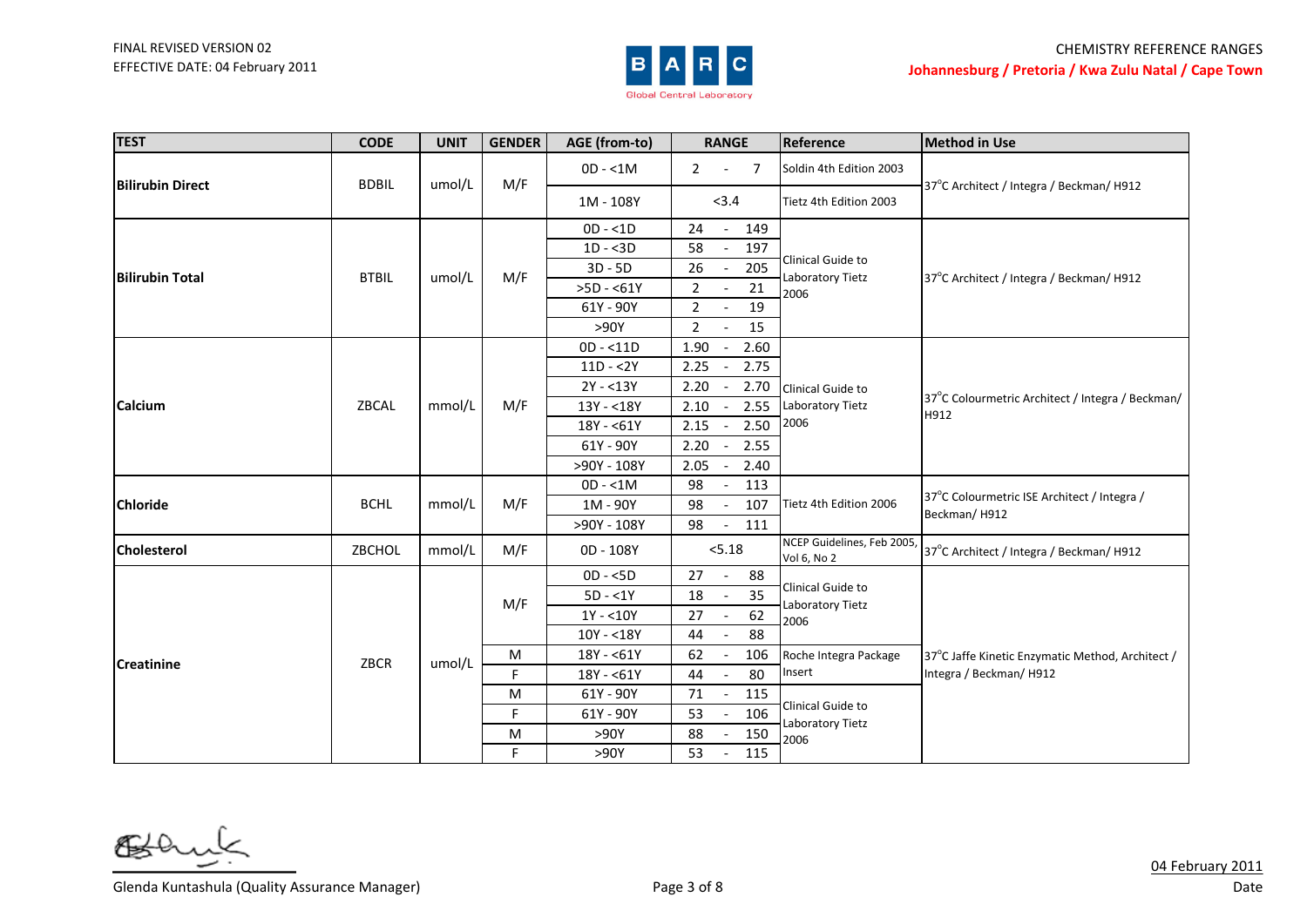

| <b>TEST</b>             | <b>CODE</b>  | <b>UNIT</b> | <b>GENDER</b> | AGE (from-to) | <b>RANGE</b>                             | Reference                                     | <b>Method in Use</b>                                        |
|-------------------------|--------------|-------------|---------------|---------------|------------------------------------------|-----------------------------------------------|-------------------------------------------------------------|
|                         |              | umol/L      |               | $OD - < 1M$   | $2^{\circ}$<br>$\overline{7}$<br>$\sim$  | Soldin 4th Edition 2003                       |                                                             |
| <b>Bilirubin Direct</b> | <b>BDBIL</b> |             | M/F           | 1M - 108Y     | < 3.4                                    | Tietz 4th Edition 2003                        | 37°C Architect / Integra / Beckman/ H912                    |
|                         |              |             |               | $OD - < 1D$   | 24<br>149                                |                                               |                                                             |
|                         |              |             |               | $1D - 3D$     | 58<br>197<br>$\overline{\phantom{a}}$    |                                               |                                                             |
| <b>Bilirubin Total</b>  | <b>BTBIL</b> | umol/L      | M/F           | $3D - 5D$     | 205<br>26<br>$\overline{\phantom{a}}$    | Clinical Guide to<br>Laboratory Tietz         | 37°C Architect / Integra / Beckman/ H912                    |
|                         |              |             |               | $>5D - 61Y$   | $\overline{2}$<br>21                     | 2006                                          |                                                             |
|                         |              |             |               | 61Y - 90Y     | $\overline{2}$<br>19                     |                                               |                                                             |
|                         |              |             |               | >90Y          | $\overline{2}$<br>15                     |                                               |                                                             |
|                         |              |             |               | $OD - < 11D$  | 1.90<br>2.60<br>$\overline{\phantom{a}}$ |                                               |                                                             |
|                         |              |             |               | $11D - 2Y$    | 2.25<br>2.75                             |                                               | 37°C Colourmetric Architect / Integra / Beckman/<br>H912    |
|                         | ZBCAL        | mmol/L      | M/F           | $2Y - 13Y$    | 2.20<br>2.70                             | Clinical Guide to<br>Laboratory Tietz<br>2006 |                                                             |
| <b>Calcium</b>          |              |             |               | 13Y - < 18Y   | 2.10<br>2.55<br>$\overline{\phantom{a}}$ |                                               |                                                             |
|                         |              |             |               | 18Y - <61Y    | 2.50<br>2.15                             |                                               |                                                             |
|                         |              |             |               | 61Y - 90Y     | 2.20<br>2.55                             |                                               |                                                             |
|                         |              |             |               | >90Y - 108Y   | 2.05<br>2.40<br>$\overline{\phantom{a}}$ |                                               |                                                             |
|                         | <b>BCHL</b>  | mmol/L      | M/F           | $OD - < 1M$   | 98<br>113                                | Tietz 4th Edition 2006                        | 37°C Colourmetric ISE Architect / Integra /<br>Beckman/H912 |
| <b>Chloride</b>         |              |             |               | 1M - 90Y      | 98<br>107                                |                                               |                                                             |
|                         |              |             |               | >90Y - 108Y   | 98<br>111<br>$\overline{\phantom{a}}$    |                                               |                                                             |
| <b>Cholesterol</b>      | ZBCHOL       | mmol/L      | M/F           | 0D - 108Y     | 5.18                                     | NCEP Guidelines, Feb 2005,<br>Vol 6, No 2     | 37°C Architect / Integra / Beckman/ H912                    |
|                         |              |             |               | $OD - <5D$    | 88<br>27<br>$\overline{\phantom{a}}$     | Clinical Guide to                             |                                                             |
|                         |              |             | M/F           | $5D - 1Y$     | $\overline{35}$<br>18<br>$\sim$          | Laboratory Tietz                              |                                                             |
|                         |              |             |               | $1Y - 10Y$    | 62<br>27<br>$\overline{\phantom{a}}$     | 2006                                          |                                                             |
| <b>Creatinine</b>       |              |             |               | $10Y - 18Y$   | 88<br>44<br>$\blacksquare$               |                                               |                                                             |
|                         | ZBCR         | umol/L      | M             | 18Y - <61Y    | 62<br>106                                | Roche Integra Package                         | 37°C Jaffe Kinetic Enzymatic Method, Architect /            |
|                         |              |             | F.            | 18Y - <61Y    | 80<br>44                                 | Insert                                        | Integra / Beckman/H912                                      |
|                         |              |             | M             | 61Y - 90Y     | 71<br>115<br>$\sim$                      |                                               |                                                             |
|                         |              |             | F.            | 61Y - 90Y     | 106<br>53                                | Clinical Guide to<br>Laboratory Tietz         |                                                             |
|                         |              |             | M             | >90Y          | 150<br>88                                | 2006                                          |                                                             |
|                         |              |             | F.            | >90Y          | 53<br>115<br>$\sim$                      |                                               |                                                             |

6≸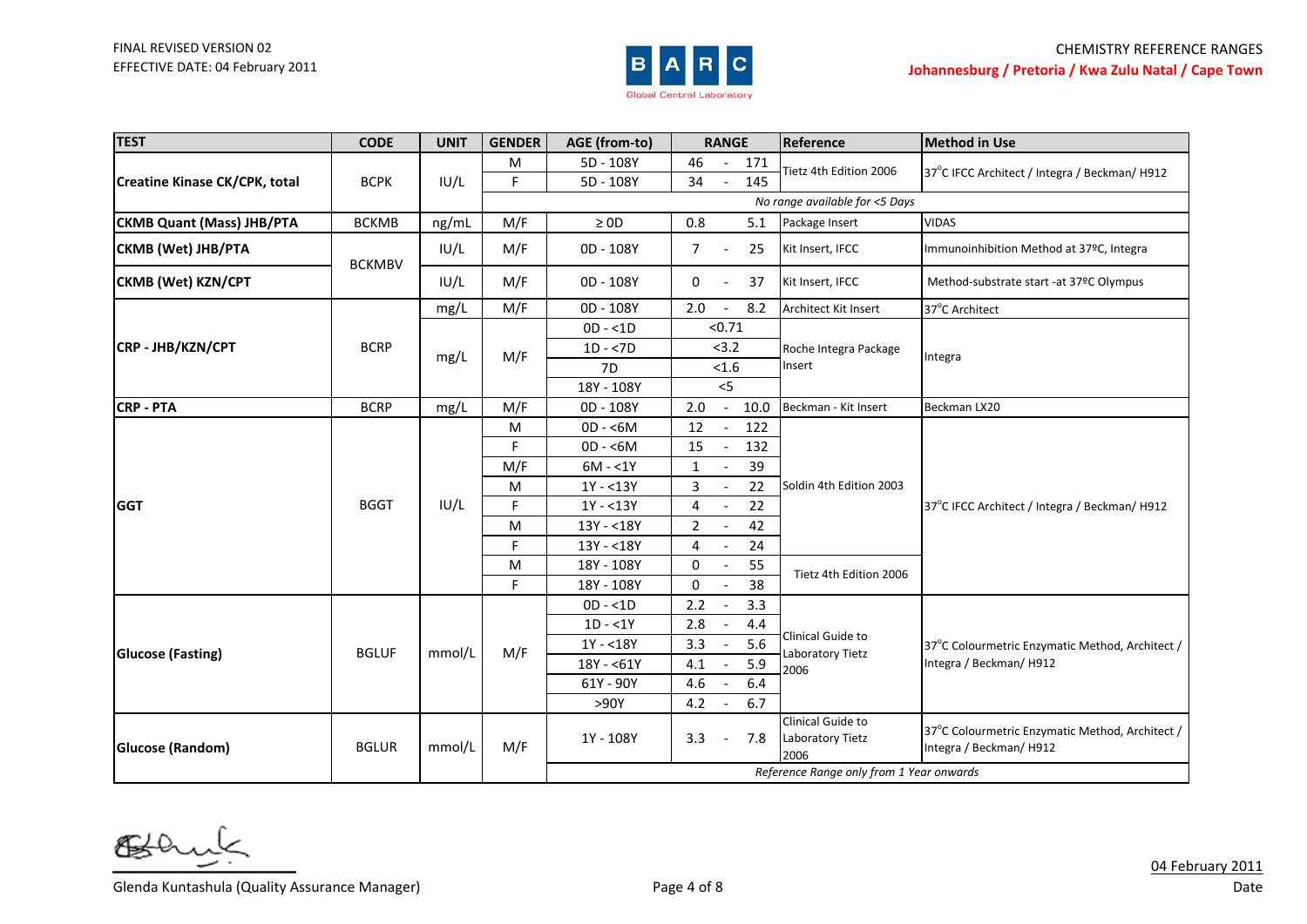

| <b>TEST</b>                      | <b>CODE</b>   | <b>UNIT</b> | <b>GENDER</b> | AGE (from-to)                  | <b>RANGE</b>                           | Reference                                         | <b>Method in Use</b>                                                      |  |  |  |
|----------------------------------|---------------|-------------|---------------|--------------------------------|----------------------------------------|---------------------------------------------------|---------------------------------------------------------------------------|--|--|--|
|                                  |               |             | M             | 5D - 108Y                      | 46<br>171                              | Tietz 4th Edition 2006                            | 37°C IFCC Architect / Integra / Beckman/ H912                             |  |  |  |
| Creatine Kinase CK/CPK, total    | <b>BCPK</b>   | IUI/L       | F.            | 5D - 108Y                      | 145<br>34                              |                                                   |                                                                           |  |  |  |
|                                  |               |             |               | No range available for <5 Days |                                        |                                                   |                                                                           |  |  |  |
| <b>CKMB Quant (Mass) JHB/PTA</b> | <b>BCKMB</b>  | ng/mL       | M/F           | $\geq 0D$                      | 0.8<br>5.1                             | Package Insert                                    | <b>VIDAS</b>                                                              |  |  |  |
| CKMB (Wet) JHB/PTA               | <b>BCKMBV</b> | IUI/L       | M/F           | 0D - 108Y                      | 25<br>7<br>$\overline{\phantom{a}}$    | Kit Insert, IFCC                                  | Immunoinhibition Method at 37°C, Integra                                  |  |  |  |
| <b>CKMB (Wet) KZN/CPT</b>        |               | IU/L        | M/F           | 0D - 108Y                      | 0<br>37                                | Kit Insert, IFCC                                  | Method-substrate start -at 37°C Olympus                                   |  |  |  |
|                                  |               | mg/L        | M/F           | 0D - 108Y                      | 8.2<br>2.0                             | Architect Kit Insert                              | 37°C Architect                                                            |  |  |  |
|                                  |               |             |               | $OD - < 1D$                    | < 0.71                                 |                                                   |                                                                           |  |  |  |
| CRP - JHB/KZN/CPT                | <b>BCRP</b>   | mg/L        | M/F           | $1D - 7D$                      | < 3.2                                  | Roche Integra Package                             | Integra                                                                   |  |  |  |
|                                  |               |             |               | 7D                             | < 1.6                                  | Insert                                            |                                                                           |  |  |  |
|                                  |               |             |               | 18Y - 108Y                     | < 5                                    |                                                   |                                                                           |  |  |  |
| <b>CRP - PTA</b>                 | <b>BCRP</b>   | mg/L        | M/F           | 0D - 108Y                      | 2.0<br>10.0                            | Beckman - Kit Insert                              | Beckman LX20                                                              |  |  |  |
|                                  |               | IUI/L       | M             | $OD - 5M$                      | 12<br>122                              | Soldin 4th Edition 2003<br>Tietz 4th Edition 2006 |                                                                           |  |  |  |
|                                  |               |             | $\mathsf F$   | $OD - 6M$                      | 15<br>132                              |                                                   |                                                                           |  |  |  |
|                                  |               |             | M/F           | $6M - 1Y$                      | $\mathbf{1}$<br>39                     |                                                   |                                                                           |  |  |  |
|                                  |               |             | M             | $1Y - 13Y$                     | 3<br>22                                |                                                   |                                                                           |  |  |  |
| <b>GGT</b>                       | <b>BGGT</b>   |             | F.            | $1Y - 13Y$                     | 4<br>22                                |                                                   | 37°C IFCC Architect / Integra / Beckman/ H912                             |  |  |  |
|                                  |               |             | M             | 13Y - <18Y                     | 42<br>$\overline{2}$                   |                                                   |                                                                           |  |  |  |
|                                  |               |             | F             | 13Y - < 18Y                    | 4<br>24<br>$\overline{\phantom{a}}$    |                                                   |                                                                           |  |  |  |
|                                  |               |             | M             | 18Y - 108Y                     | $\mathbf 0$<br>55                      |                                                   |                                                                           |  |  |  |
|                                  |               |             | F.            | 18Y - 108Y                     | 0<br>38                                |                                                   |                                                                           |  |  |  |
|                                  |               |             |               | $OD - < 1D$                    | 2.2<br>3.3                             |                                                   |                                                                           |  |  |  |
|                                  |               |             |               | $1D - 1Y$                      | 2.8<br>4.4                             | Clinical Guide to                                 |                                                                           |  |  |  |
| <b>Glucose (Fasting)</b>         | <b>BGLUF</b>  | mmol/L      | M/F           | $1Y - 18Y$                     | 5.6<br>3.3                             | Laboratory Tietz                                  | 37°C Colourmetric Enzymatic Method, Architect /                           |  |  |  |
|                                  |               |             |               | 18Y - <61Y                     | 5.9<br>4.1                             | 2006                                              | Integra / Beckman/H912                                                    |  |  |  |
|                                  |               |             |               | 61Y - 90Y                      | 4.6<br>6.4<br>$\overline{\phantom{a}}$ |                                                   |                                                                           |  |  |  |
|                                  |               |             |               | >90Y                           | 4.2<br>6.7                             |                                                   |                                                                           |  |  |  |
| Glucose (Random)                 | <b>BGLUR</b>  | mmol/L      | M/F           | 1Y - 108Y                      | 3.3<br>7.8<br>$\overline{\phantom{a}}$ | Clinical Guide to<br>Laboratory Tietz<br>2006     | 37°C Colourmetric Enzymatic Method, Architect /<br>Integra / Beckman/H912 |  |  |  |
|                                  |               |             |               |                                |                                        | Reference Range only from 1 Year onwards          |                                                                           |  |  |  |

6≸

Glenda Kuntashula (Quality Assurance Manager) Show The Control of 8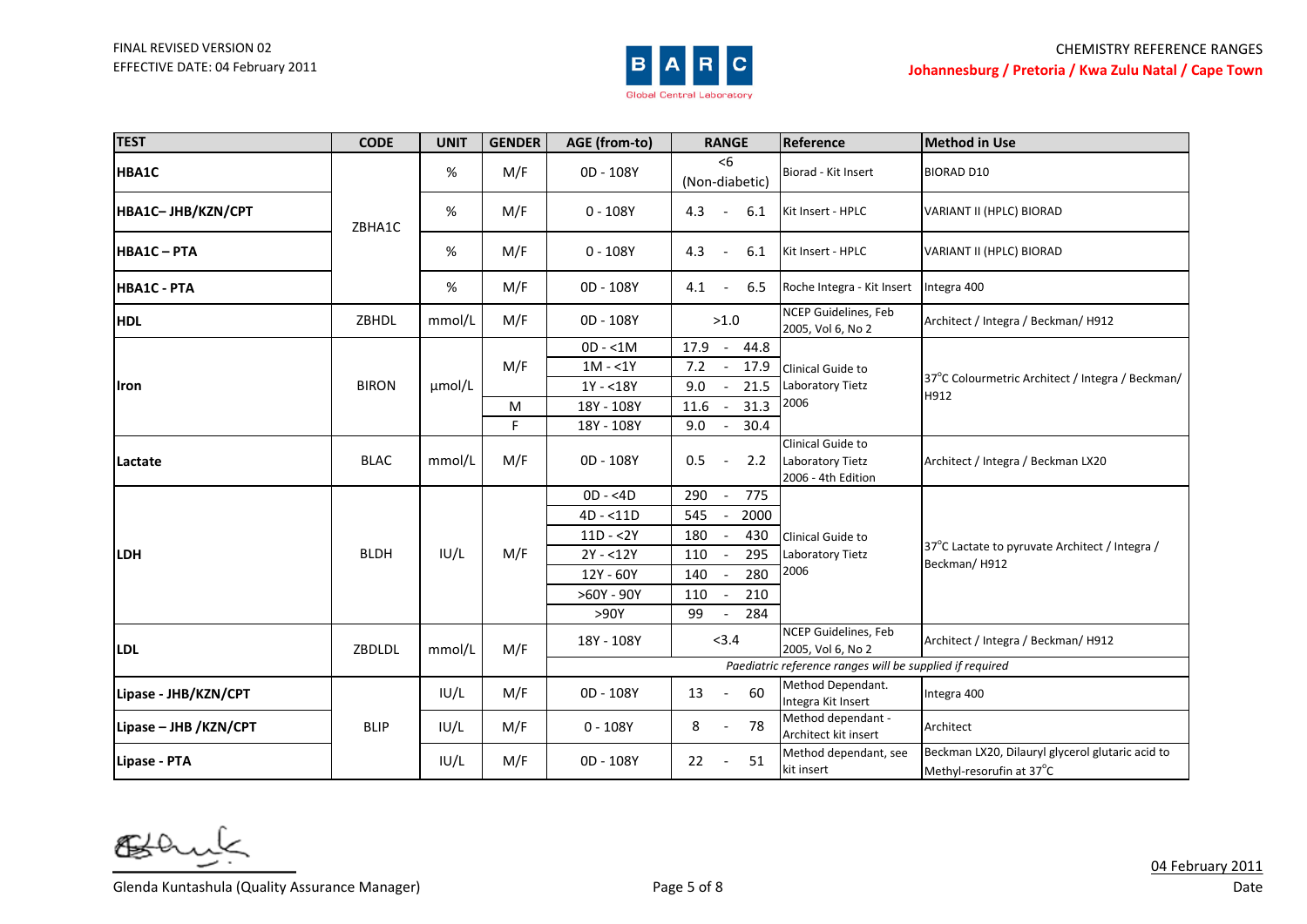

| <b>TEST</b>           | <b>CODE</b>  | <b>UNIT</b> | <b>GENDER</b> | AGE (from-to) | <b>RANGE</b>                            | Reference                                                   | <b>Method in Use</b>                                                         |
|-----------------------|--------------|-------------|---------------|---------------|-----------------------------------------|-------------------------------------------------------------|------------------------------------------------------------------------------|
| HBA1C                 |              | %           | M/F           | 0D - 108Y     | <6<br>(Non-diabetic)                    | Biorad - Kit Insert                                         | <b>BIORAD D10</b>                                                            |
| HBA1C-JHB/KZN/CPT     | ZBHA1C       | %           | M/F           | $0 - 108Y$    | 4.3<br>6.1<br>$\overline{\phantom{a}}$  | Kit Insert - HPLC                                           | VARIANT II (HPLC) BIORAD                                                     |
| <b>HBA1C-PTA</b>      |              | %           | M/F           | $0 - 108Y$    | 4.3<br>6.1<br>$\overline{\phantom{a}}$  | Kit Insert - HPLC                                           | VARIANT II (HPLC) BIORAD                                                     |
| <b>HBA1C - PTA</b>    |              | %           | M/F           | 0D - 108Y     | 4.1<br>6.5<br>$\overline{\phantom{a}}$  | Roche Integra - Kit Insert                                  | Integra 400                                                                  |
| <b>HDL</b>            | ZBHDL        | mmol/L      | M/F           | 0D - 108Y     | >1.0                                    | NCEP Guidelines, Feb<br>2005, Vol 6, No 2                   | Architect / Integra / Beckman/ H912                                          |
|                       |              |             |               | $OD - < 1M$   | 17.9<br>44.8                            |                                                             |                                                                              |
|                       |              |             | M/F           | $1M - 1Y$     | 7.2<br>17.9                             | Clinical Guide to                                           | 37°C Colourmetric Architect / Integra / Beckman/<br>H912                     |
| llron                 | <b>BIRON</b> | µmol/L      |               | $1Y - 18Y$    | 21.5<br>9.0                             | Laboratory Tietz                                            |                                                                              |
|                       |              |             | M             | 18Y - 108Y    | 31.3<br>11.6                            | 2006                                                        |                                                                              |
|                       |              |             | F.            | 18Y - 108Y    | 9.0<br>30.4                             |                                                             |                                                                              |
| Lactate               | <b>BLAC</b>  | mmol/L      | M/F           | 0D - 108Y     | 2.2<br>0.5<br>$\overline{\phantom{a}}$  | Clinical Guide to<br>Laboratory Tietz<br>2006 - 4th Edition | Architect / Integra / Beckman LX20                                           |
|                       |              |             |               | $OD - <4D$    | 290<br>775                              | Clinical Guide to<br>Laboratory Tietz                       | 37°C Lactate to pyruvate Architect / Integra /                               |
|                       |              |             |               | $4D - 11D$    | 545<br>2000<br>$\overline{\phantom{a}}$ |                                                             |                                                                              |
|                       |              |             |               | $11D - 2Y$    | 180<br>430                              |                                                             |                                                                              |
| <b>LDH</b>            | <b>BLDH</b>  | IUI/L       | M/F           | $2Y - 12Y$    | 110<br>295                              |                                                             |                                                                              |
|                       |              |             |               | 12Y - 60Y     | 280<br>140                              | 2006                                                        | Beckman/H912                                                                 |
|                       |              |             |               | $>60Y - 90Y$  | 110<br>210                              |                                                             |                                                                              |
|                       |              |             |               | >90Y          | 99<br>284                               |                                                             |                                                                              |
| <b>LDL</b>            | ZBDLDL       | mmol/L      | M/F           | 18Y - 108Y    | < 3.4                                   | NCEP Guidelines, Feb<br>2005, Vol 6, No 2                   | Architect / Integra / Beckman/ H912                                          |
|                       |              |             |               |               |                                         | Paediatric reference ranges will be supplied if required    |                                                                              |
| Lipase - JHB/KZN/CPT  |              | IUI/L       | M/F           | 0D - 108Y     | 60<br>13<br>$\sim$                      | Method Dependant.<br>Integra Kit Insert                     | Integra 400                                                                  |
| Lipase - JHB /KZN/CPT | <b>BLIP</b>  | IUI/L       | M/F           | $0 - 108Y$    | 8<br>78<br>$ \,$                        | Method dependant -<br>Architect kit insert                  | Architect                                                                    |
| Lipase - PTA          |              | IU/L        | M/F           | 0D - 108Y     | 22<br>51<br>$\overline{\phantom{a}}$    | Method dependant, see<br>kit insert                         | Beckman LX20, Dilauryl glycerol glutaric acid to<br>Methyl-resorufin at 37°C |

6≸

Glenda Kuntashula (Quality Assurance Manager) Glenda Current Conservation of 8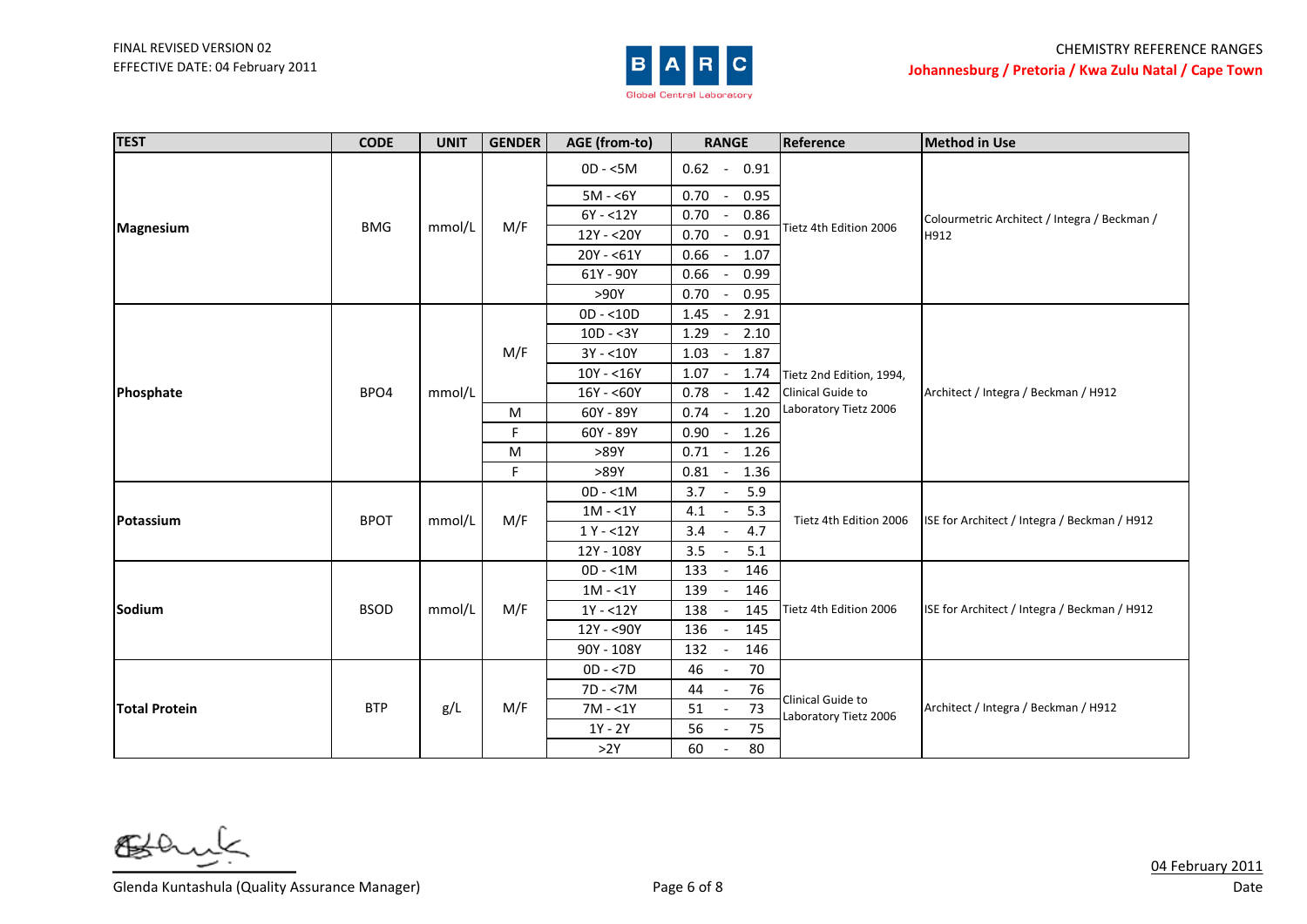

| <b>TEST</b>          | <b>CODE</b> | <b>UNIT</b> | <b>GENDER</b> | AGE (from-to) | <b>RANGE</b>                             | Reference                | <b>Method in Use</b>                         |
|----------------------|-------------|-------------|---------------|---------------|------------------------------------------|--------------------------|----------------------------------------------|
|                      |             |             |               | $OD - <5M$    | $0.62 - 0.91$                            |                          |                                              |
|                      |             |             |               | $5M - 6Y$     | 0.70<br>0.95                             |                          |                                              |
|                      |             |             |               | $6Y - 12Y$    | 0.70<br>0.86<br>$\overline{\phantom{a}}$ |                          | Colourmetric Architect / Integra / Beckman / |
| Magnesium            | <b>BMG</b>  | mmol/L      | M/F           | 12Y - < 20Y   | 0.91<br>0.70<br>$\overline{\phantom{a}}$ | Tietz 4th Edition 2006   | H912                                         |
|                      |             |             |               | $20Y - 61Y$   | 0.66<br>1.07                             |                          |                                              |
|                      |             |             |               | 61Y - 90Y     | 0.99<br>$0.66 -$                         |                          |                                              |
|                      |             |             |               | >90Y          | 0.70<br>0.95<br>$\sim$                   |                          |                                              |
|                      |             |             |               | $OD - < 10D$  | 1.45<br>2.91<br>$\overline{\phantom{a}}$ |                          |                                              |
|                      |             |             |               | $10D - 3Y$    | 1.29<br>2.10                             |                          |                                              |
|                      |             |             | M/F           | $3Y - 10Y$    | 1.03<br>1.87<br>$\overline{\phantom{a}}$ |                          |                                              |
|                      |             | mmol/L      |               | $10Y - 16Y$   | 1.07<br>1.74<br>$\overline{\phantom{a}}$ | Tietz 2nd Edition, 1994, | Architect / Integra / Beckman / H912         |
| Phosphate            | BPO4        |             |               | $16Y - 60Y$   | 0.78<br>1.42                             | Clinical Guide to        |                                              |
|                      |             |             | M             | 60Y - 89Y     | 1.20<br>0.74                             | Laboratory Tietz 2006    |                                              |
|                      |             |             | F.            | 60Y - 89Y     | 0.90<br>1.26<br>$\overline{\phantom{a}}$ |                          |                                              |
|                      |             |             | M             | >89Y          | $0.71 -$<br>1.26                         |                          |                                              |
|                      |             |             | $\mathsf F$   | >89Y          | 1.36<br>$0.81 -$                         |                          |                                              |
|                      | <b>BPOT</b> | mmol/L      | M/F           | $OD - < 1M$   | 5.9<br>$3.7 -$                           | Tietz 4th Edition 2006   | ISE for Architect / Integra / Beckman / H912 |
| Potassium            |             |             |               | $1M - 1Y$     | 4.1<br>5.3<br>$\sim$                     |                          |                                              |
|                      |             |             |               | $1Y - 12Y$    | 4.7<br>3.4                               |                          |                                              |
|                      |             |             |               | 12Y - 108Y    | 3.5<br>5.1                               |                          |                                              |
|                      |             |             |               | $OD - < 1M$   | 133<br>146                               |                          |                                              |
|                      |             |             |               | $1M - 1Y$     | 139<br>146                               |                          |                                              |
| Sodium               | <b>BSOD</b> | mmol/L      | M/F           | $1Y - 12Y$    | 138<br>145                               | Tietz 4th Edition 2006   | ISE for Architect / Integra / Beckman / H912 |
|                      |             |             |               | 12Y - < 90Y   | 136<br>145                               |                          |                                              |
|                      |             |             |               | 90Y - 108Y    | 132<br>146                               |                          |                                              |
|                      |             |             |               | $OD - < 7D$   | 46<br>70                                 |                          |                                              |
|                      |             |             | M/F           | $7D - 57M$    | 76<br>44                                 | Clinical Guide to        |                                              |
| <b>Total Protein</b> | <b>BTP</b>  | g/L         |               | $7M - 1Y$     | $\overline{73}$<br>51                    | Laboratory Tietz 2006    | Architect / Integra / Beckman / H912         |
|                      |             |             |               | 1Y - 2Y       | 75<br>56                                 |                          |                                              |
|                      |             |             |               | >2Y           | 60<br>80<br>$\sim$ $-$                   |                          |                                              |

๕

Glenda Kuntashula (Quality Assurance Manager) Show The Control of 8 Page 6 of 8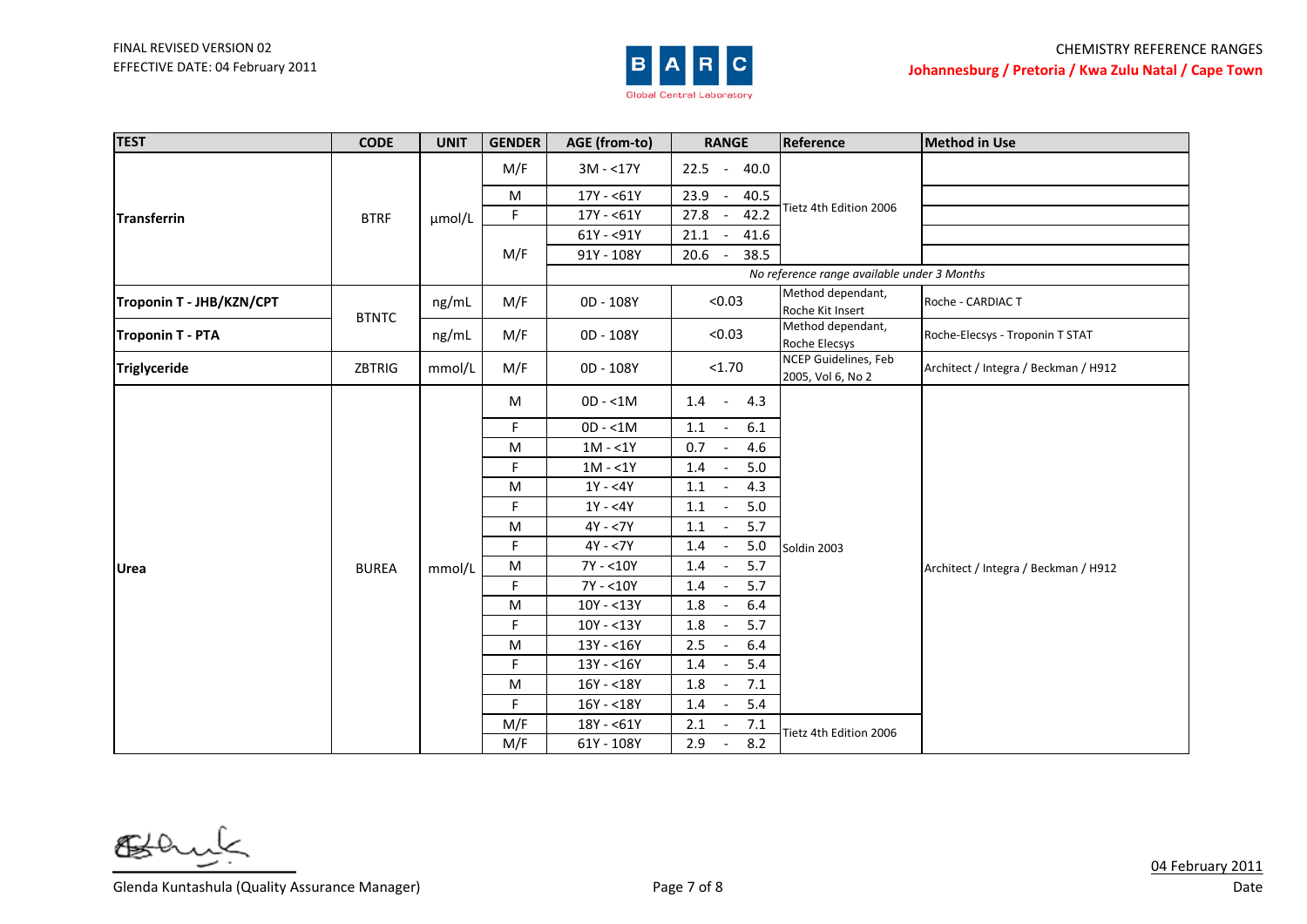

| <b>TEST</b>              | <b>CODE</b>  | <b>UNIT</b> | <b>GENDER</b> | AGE (from-to) | <b>RANGE</b>                             | Reference                                   | <b>Method in Use</b>                 |
|--------------------------|--------------|-------------|---------------|---------------|------------------------------------------|---------------------------------------------|--------------------------------------|
|                          |              |             | M/F           | $3M - 17Y$    | $-40.0$<br>22.5                          |                                             |                                      |
|                          |              |             | M             | $17Y - 61Y$   | 23.9<br>40.5                             |                                             |                                      |
| <b>Transferrin</b>       | <b>BTRF</b>  | µmol/L      | F             | $17Y - 61Y$   | 42.2<br>27.8                             | Tietz 4th Edition 2006                      |                                      |
|                          |              |             |               | $61Y - 91Y$   | 21.1<br>41.6                             |                                             |                                      |
|                          |              |             | M/F           | 91Y - 108Y    | 38.5<br>20.6<br>$\overline{\phantom{a}}$ |                                             |                                      |
|                          |              |             |               |               |                                          | No reference range available under 3 Months |                                      |
| Troponin T - JHB/KZN/CPT | <b>BTNTC</b> | ng/mL       | M/F           | 0D - 108Y     | < 0.03                                   | Method dependant,<br>Roche Kit Insert       | Roche - CARDIAC T                    |
| <b>Troponin T - PTA</b>  |              | ng/mL       | M/F           | 0D - 108Y     | < 0.03                                   | Method dependant,<br>Roche Elecsys          | Roche-Elecsys - Troponin T STAT      |
| Triglyceride             | ZBTRIG       | mmol/L      | M/F           | 0D - 108Y     | < 1.70                                   | NCEP Guidelines, Feb<br>2005, Vol 6, No 2   | Architect / Integra / Beckman / H912 |
|                          |              |             | M             | $OD - < 1M$   | 4.3<br>1.4<br>$\sim 10^{-1}$             |                                             |                                      |
|                          |              |             | F.            | $OD - < 1M$   | 1.1<br>6.1<br>$\overline{\phantom{a}}$   |                                             |                                      |
|                          |              |             | M             | $1M - 1Y$     | 4.6<br>0.7<br>$\sim$                     |                                             |                                      |
|                          |              |             | F             | $1M - 1Y$     | 5.0<br>1.4                               |                                             |                                      |
|                          |              |             | M             | $1Y - 4Y$     | 4.3<br>$1.1\,$<br>$\sim$                 |                                             |                                      |
|                          |              |             | F             | $1Y - 4Y$     | 5.0<br>1.1                               |                                             |                                      |
|                          |              |             | ${\sf M}$     | $4Y - 7Y$     | 5.7<br>1.1                               |                                             |                                      |
|                          |              |             | F.            | $4Y - 7Y$     | 5.0<br>1.4<br>$\overline{\phantom{a}}$   | Soldin 2003                                 |                                      |
| <b>Urea</b>              | <b>BUREA</b> | mmol/L      | M             | 7Y - <10Y     | 5.7<br>1.4<br>$\overline{\phantom{a}}$   |                                             | Architect / Integra / Beckman / H912 |
|                          |              |             | F.            | $7Y - 10Y$    | 5.7<br>1.4                               |                                             |                                      |
|                          |              |             | M             | $10Y - 13Y$   | 6.4<br>1.8                               |                                             |                                      |
|                          |              |             | F.            | $10Y - 13Y$   | 5.7<br>1.8                               |                                             |                                      |
|                          |              |             | M             | $13Y - 16Y$   | 2.5<br>6.4<br>$\overline{\phantom{a}}$   |                                             |                                      |
|                          |              |             | F             | $13Y - 16Y$   | 5.4<br>1.4                               |                                             |                                      |
|                          |              |             | M             | $16Y - 18Y$   | 1.8<br>7.1                               |                                             |                                      |
|                          |              |             | F.            | $16Y - 18Y$   | 5.4<br>1.4<br>$\sim$                     |                                             |                                      |
|                          |              |             | M/F           | $18Y - 61Y$   | 7.1<br>2.1<br>$\overline{\phantom{a}}$   | Tietz 4th Edition 2006                      |                                      |
|                          |              |             | M/F           | 61Y - 108Y    | 8.2<br>2.9<br>$\overline{\phantom{a}}$   |                                             |                                      |

6≸

Glenda Kuntashula (Quality Assurance Manager) Show The Control of 8 Page 7 of 8